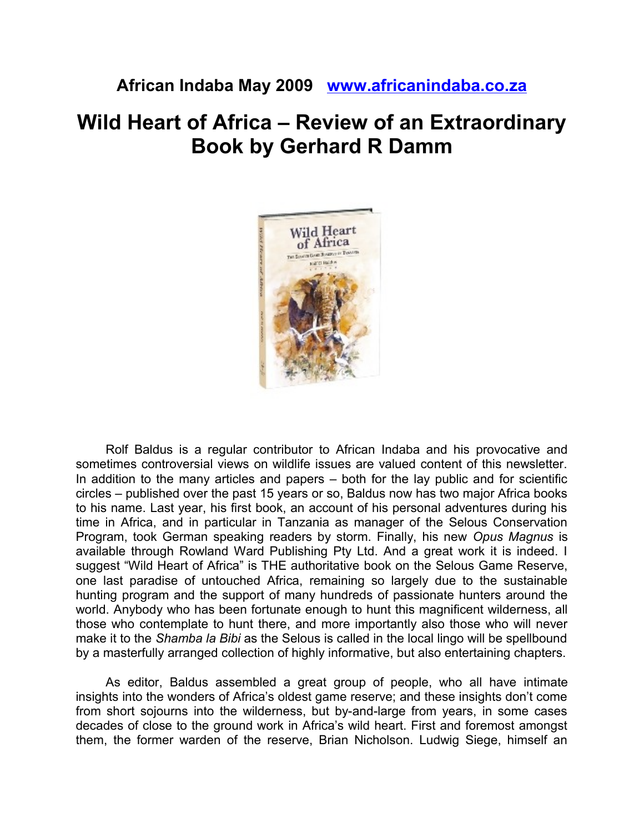## **African Indaba May 2009 [www.africanindaba.co.za](http://www.africanindaba.co.za/)**

## **Wild Heart of Africa – Review of an Extraordinary Book by Gerhard R Damm**



Rolf Baldus is a regular contributor to African Indaba and his provocative and sometimes controversial views on wildlife issues are valued content of this newsletter. In addition to the many articles and papers – both for the lay public and for scientific circles – published over the past 15 years or so, Baldus now has two major Africa books to his name. Last year, his first book, an account of his personal adventures during his time in Africa, and in particular in Tanzania as manager of the Selous Conservation Program, took German speaking readers by storm. Finally, his new *Opus Magnus* is available through Rowland Ward Publishing Pty Ltd. And a great work it is indeed. I suggest "Wild Heart of Africa" is THE authoritative book on the Selous Game Reserve, one last paradise of untouched Africa, remaining so largely due to the sustainable hunting program and the support of many hundreds of passionate hunters around the world. Anybody who has been fortunate enough to hunt this magnificent wilderness, all those who contemplate to hunt there, and more importantly also those who will never make it to the *Shamba la Bibi* as the Selous is called in the local lingo will be spellbound by a masterfully arranged collection of highly informative, but also entertaining chapters.

As editor, Baldus assembled a great group of people, who all have intimate insights into the wonders of Africa's oldest game reserve; and these insights don't come from short sojourns into the wilderness, but by-and-large from years, in some cases decades of close to the ground work in Africa's wild heart. First and foremost amongst them, the former warden of the reserve, Brian Nicholson. Ludwig Siege, himself an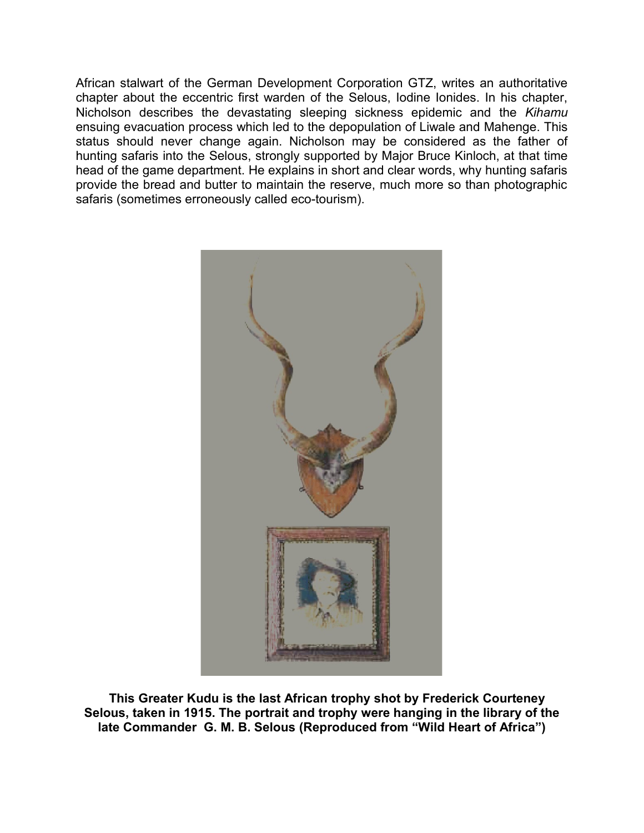African stalwart of the German Development Corporation GTZ, writes an authoritative chapter about the eccentric first warden of the Selous, Iodine Ionides. In his chapter, Nicholson describes the devastating sleeping sickness epidemic and the *Kihamu* ensuing evacuation process which led to the depopulation of Liwale and Mahenge. This status should never change again. Nicholson may be considered as the father of hunting safaris into the Selous, strongly supported by Major Bruce Kinloch, at that time head of the game department. He explains in short and clear words, why hunting safaris provide the bread and butter to maintain the reserve, much more so than photographic safaris (sometimes erroneously called eco-tourism).



 **This Greater Kudu is the last African trophy shot by Frederick Courteney Selous, taken in 1915. The portrait and trophy were hanging in the library of the late Commander G. M. B. Selous (Reproduced from "Wild Heart of Africa")**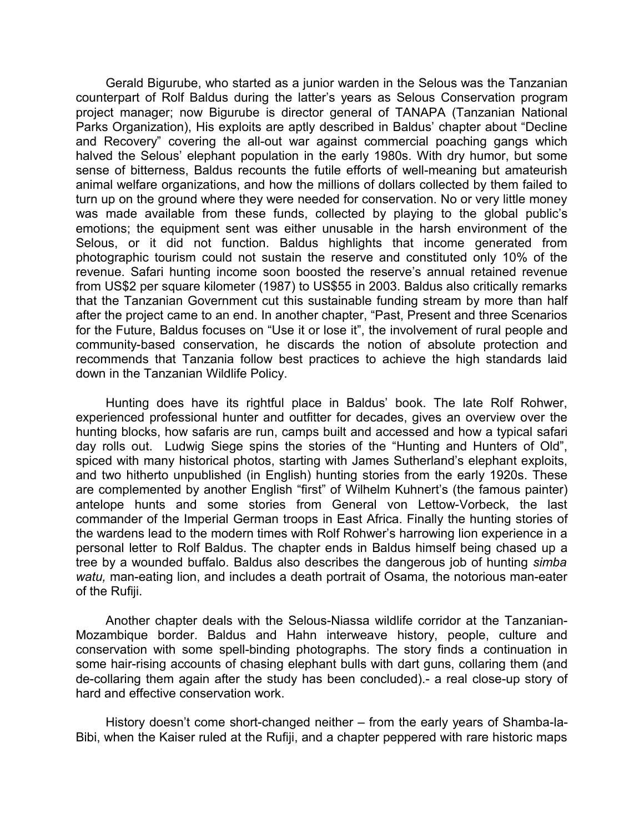Gerald Bigurube, who started as a junior warden in the Selous was the Tanzanian counterpart of Rolf Baldus during the latter's years as Selous Conservation program project manager; now Bigurube is director general of TANAPA (Tanzanian National Parks Organization), His exploits are aptly described in Baldus' chapter about "Decline and Recovery" covering the all-out war against commercial poaching gangs which halved the Selous' elephant population in the early 1980s. With dry humor, but some sense of bitterness, Baldus recounts the futile efforts of well-meaning but amateurish animal welfare organizations, and how the millions of dollars collected by them failed to turn up on the ground where they were needed for conservation. No or very little money was made available from these funds, collected by playing to the global public's emotions; the equipment sent was either unusable in the harsh environment of the Selous, or it did not function. Baldus highlights that income generated from photographic tourism could not sustain the reserve and constituted only 10% of the revenue. Safari hunting income soon boosted the reserve's annual retained revenue from US\$2 per square kilometer (1987) to US\$55 in 2003. Baldus also critically remarks that the Tanzanian Government cut this sustainable funding stream by more than half after the project came to an end. In another chapter, "Past, Present and three Scenarios for the Future, Baldus focuses on "Use it or lose it", the involvement of rural people and community-based conservation, he discards the notion of absolute protection and recommends that Tanzania follow best practices to achieve the high standards laid down in the Tanzanian Wildlife Policy.

Hunting does have its rightful place in Baldus' book. The late Rolf Rohwer, experienced professional hunter and outfitter for decades, gives an overview over the hunting blocks, how safaris are run, camps built and accessed and how a typical safari day rolls out. Ludwig Siege spins the stories of the "Hunting and Hunters of Old", spiced with many historical photos, starting with James Sutherland's elephant exploits, and two hitherto unpublished (in English) hunting stories from the early 1920s. These are complemented by another English "first" of Wilhelm Kuhnert's (the famous painter) antelope hunts and some stories from General von Lettow-Vorbeck, the last commander of the Imperial German troops in East Africa. Finally the hunting stories of the wardens lead to the modern times with Rolf Rohwer's harrowing lion experience in a personal letter to Rolf Baldus. The chapter ends in Baldus himself being chased up a tree by a wounded buffalo. Baldus also describes the dangerous job of hunting *simba watu,* man-eating lion, and includes a death portrait of Osama, the notorious man-eater of the Rufiji.

Another chapter deals with the Selous-Niassa wildlife corridor at the Tanzanian-Mozambique border. Baldus and Hahn interweave history, people, culture and conservation with some spell-binding photographs. The story finds a continuation in some hair-rising accounts of chasing elephant bulls with dart guns, collaring them (and de-collaring them again after the study has been concluded).- a real close-up story of hard and effective conservation work.

History doesn't come short-changed neither – from the early years of Shamba-la-Bibi, when the Kaiser ruled at the Rufiji, and a chapter peppered with rare historic maps